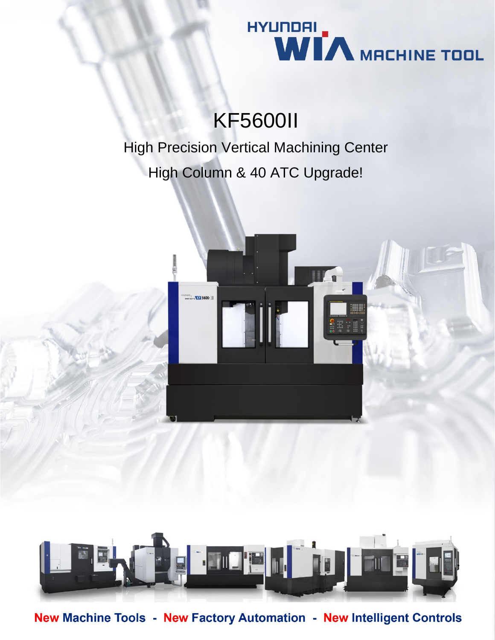

# KF5600II

High Precision Vertical Machining Center High Column & 40 ATC Upgrade!





New Machine Tools - New Factory Automation - New Intelligent Controls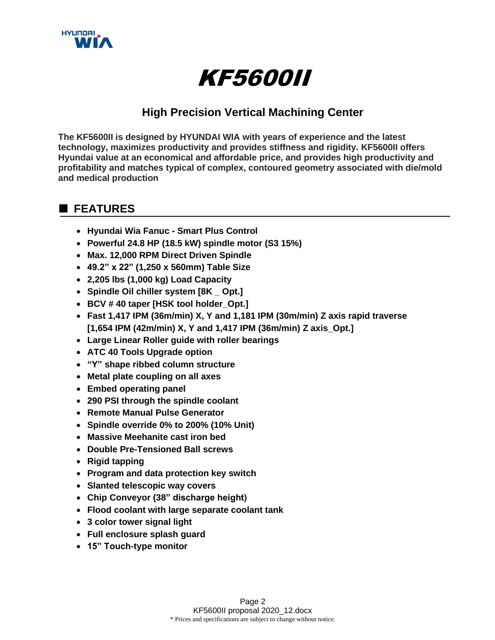

# KF5600II

# **High Precision Vertical Machining Center**

**The KF5600II is designed by HYUNDAI WIA with years of experience and the latest technology, maximizes productivity and provides stiffness and rigidity. KF5600II offers Hyundai value at an economical and affordable price, and provides high productivity and profitability and matches typical of complex, contoured geometry associated with die/mold and medical production**

# **■ FEATURES**

- **Hyundai Wia Fanuc - Smart Plus Control**
- **Powerful 24.8 HP (18.5 kW) spindle motor (S3 15%)**
- **Max. 12,000 RPM Direct Driven Spindle**
- **49.2" x 22" (1,250 x 560mm) Table Size**
- **2,205 lbs (1,000 kg) Load Capacity**
- **Spindle Oil chiller system [8K \_ Opt.]**
- **BCV # 40 taper [HSK tool holder\_Opt.]**
- **Fast 1,417 IPM (36m/min) X, Y and 1,181 IPM (30m/min) Z axis rapid traverse [1,654 IPM (42m/min) X, Y and 1,417 IPM (36m/min) Z axis\_Opt.]**
- **Large Linear Roller guide with roller bearings**
- **ATC 40 Tools Upgrade option**
- **"Y" shape ribbed column structure**
- **Metal plate coupling on all axes**
- **Embed operating panel**
- **290 PSI through the spindle coolant**
- **Remote Manual Pulse Generator**
- **Spindle override 0% to 200% (10% Unit)**
- **Massive Meehanite cast iron bed**
- **Double Pre-Tensioned Ball screws**
- **Rigid tapping**
- **Program and data protection key switch**
- **Slanted telescopic way covers**
- **Chip Conveyor (38" discharge height)**
- **Flood coolant with large separate coolant tank**
- **3 color tower signal light**
- **Full enclosure splash guard**
- **15" Touch-type monitor**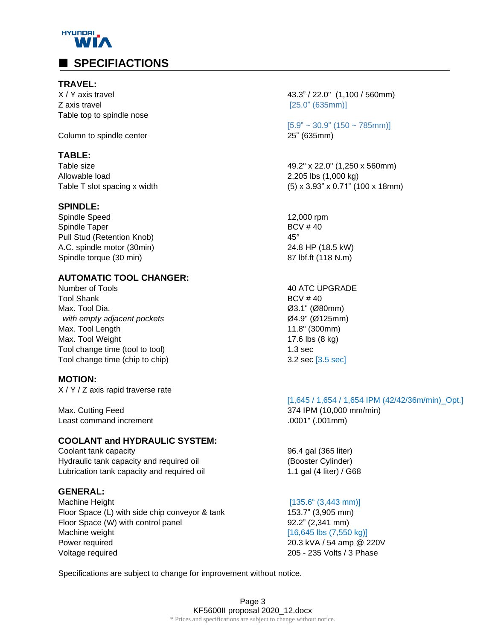

#### **TRAVEL:**

**Z** axis travel **EXECUTE: EXECUTE: EXECUTE: EXECUTE: EXECUTE: EXECUTE: EXECUTE: EXECUTE: EXECUTE: EXECUTE: EXECUTE: EXECUTE: EXECUTE: EXECUTE: EXECUTE: EXECUTE: EXECUTE: EXECUTE: EXECUTE** Table top to spindle nose

Column to spindle center 25" (635mm)

#### **TABLE:**

Allowable load 2,205 lbs (1,000 kg)

#### **SPINDLE:**

Spindle Speed 12,000 rpm Spindle Taper BCV # 40 Pull Stud (Retention Knob) 45° A.C. spindle motor (30min) 24.8 HP (18.5 kW) Spindle torque (30 min) 87 lbf.ft (118 N.m)

### **AUTOMATIC TOOL CHANGER:**

Number of Tools **ATC UPGRADE** Tool Shank BCV # 40 Max. Tool Dia. Ø3.1" (Ø80mm)  *with empty adjacent pockets* Ø4.9" (Ø125mm) Max. Tool Length 11.8" (300mm) Max. Tool Weight 17.6 lbs (8 kg) Tool change time (tool to tool) 1.3 sec Tool change time (chip to chip) 3.2 sec [3.5 sec]

#### **MOTION:**

X / Y / Z axis rapid traverse rate

Max. Cutting Feed 374 IPM (10,000 mm/min) Least command increment .0001" (.001mm)

#### **COOLANT and HYDRAULIC SYSTEM:**

Coolant tank capacity 96.4 gal (365 liter) Hydraulic tank capacity and required oil **Francisco Cylinder** (Booster Cylinder) Lubrication tank capacity and required oil 1.1 gal (4 liter) / G68

#### **GENERAL:**

Machine Height [135.6" (3,443 mm)] Floor Space (L) with side chip conveyor & tank 153.7" (3,905 mm) Floor Space (W) with control panel example 32.2" (2,341 mm) Machine weight **and the set of the set of the set of the set of the set of the set of the set of the set of the set of the set of the set of the set of the set of the set of the set of the set of the set of the set of the** Power required 20.3 kVA / 54 amp @ 220V Voltage required 205 - 235 Volts / 3 Phase

X / Y axis travel 43.3" / 22.0" (1,100 / 560mm)

 $[5.9" \sim 30.9" (150 \sim 785$ mm)]

Table size **49.2"** x 22.0" (1,250 x 560mm) Table T slot spacing x width  $(5) \times 3.93$ "  $\times 0.71$ " (100  $\times$  18mm)

#### [1,645 / 1,654 / 1,654 IPM (42/42/36m/min)\_Opt.]

Specifications are subject to change for improvement without notice.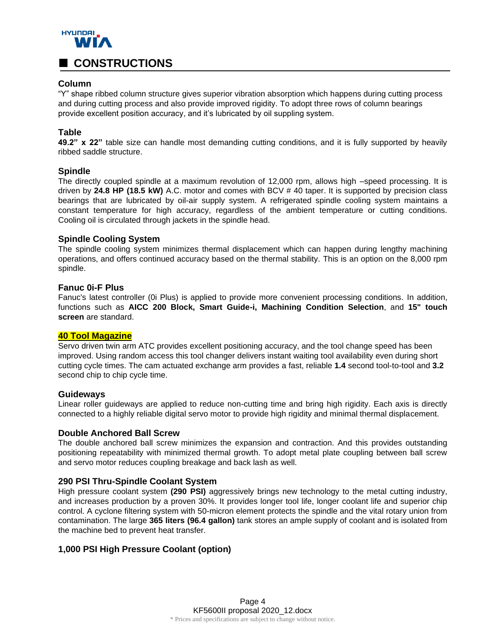

#### **Column**

"Y" shape ribbed column structure gives superior vibration absorption which happens during cutting process and during cutting process and also provide improved rigidity. To adopt three rows of column bearings provide excellent position accuracy, and it's lubricated by oil suppling system.

#### **Table**

**49.2" x 22"** table size can handle most demanding cutting conditions, and it is fully supported by heavily ribbed saddle structure.

#### **Spindle**

The directly coupled spindle at a maximum revolution of 12,000 rpm, allows high –speed processing. It is driven by **24.8 HP (18.5 kW)** A.C. motor and comes with BCV # 40 taper. It is supported by precision class bearings that are lubricated by oil-air supply system. A refrigerated spindle cooling system maintains a constant temperature for high accuracy, regardless of the ambient temperature or cutting conditions. Cooling oil is circulated through jackets in the spindle head.

#### **Spindle Cooling System**

The spindle cooling system minimizes thermal displacement which can happen during lengthy machining operations, and offers continued accuracy based on the thermal stability. This is an option on the 8,000 rpm spindle.

#### **Fanuc 0i-F Plus**

Fanuc's latest controller (0i Plus) is applied to provide more convenient processing conditions. In addition, functions such as **AICC 200 Block, Smart Guide-i, Machining Condition Selection**, and **15" touch screen** are standard.

#### **40 Tool Magazine**

Servo driven twin arm ATC provides excellent positioning accuracy, and the tool change speed has been improved. Using random access this tool changer delivers instant waiting tool availability even during short cutting cycle times. The cam actuated exchange arm provides a fast, reliable **1.4** second tool-to-tool and **3.2** second chip to chip cycle time.

#### **Guideways**

Linear roller guideways are applied to reduce non-cutting time and bring high rigidity. Each axis is directly connected to a highly reliable digital servo motor to provide high rigidity and minimal thermal displacement.

#### **Double Anchored Ball Screw**

The double anchored ball screw minimizes the expansion and contraction. And this provides outstanding positioning repeatability with minimized thermal growth. To adopt metal plate coupling between ball screw and servo motor reduces coupling breakage and back lash as well.

#### **290 PSI Thru-Spindle Coolant System**

High pressure coolant system **(290 PSI)** aggressively brings new technology to the metal cutting industry, and increases production by a proven 30%. It provides longer tool life, longer coolant life and superior chip control. A cyclone filtering system with 50-micron element protects the spindle and the vital rotary union from contamination. The large **365 liters (96.4 gallon)** tank stores an ample supply of coolant and is isolated from the machine bed to prevent heat transfer.

#### **1,000 PSI High Pressure Coolant (option)**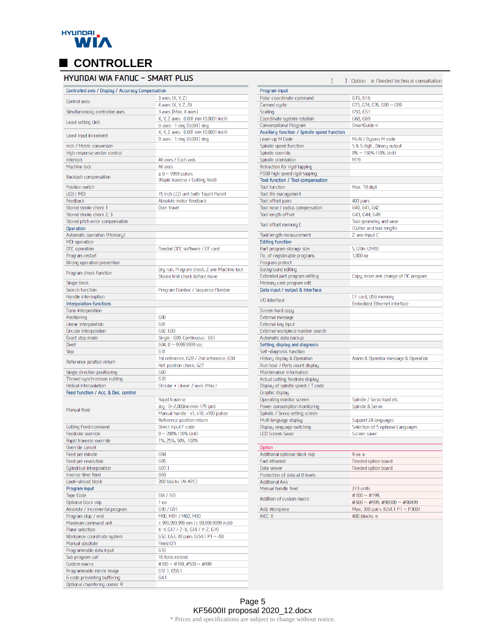

# **EXECONTROLLER**<br>**HYUNDAI WIA FANUC - SMART PLUS**

| Controlled axis / Display / Accuracy Compensation          |                                                                              |
|------------------------------------------------------------|------------------------------------------------------------------------------|
| Control axes                                               | 3 axes (X, Y, Z)                                                             |
|                                                            | 4 axes (X, Y, Z, B)                                                          |
| Simultaneously controlled axes                             | 3 axes [Max. 4 axes]<br>X, Y, Z axes: 0.001 mm (0.0001 inch)                 |
| Least setting Unit                                         | B axes : 1 deg [0.001] deg                                                   |
| Least input increment                                      | X, Y, Z axes: 0.001 mm (0.0001 inch)                                         |
|                                                            | B axes : 1 deg [0.001] deg                                                   |
| Inch / Metric conversion<br>High response vector control   |                                                                              |
| Interlock                                                  | All axes / Each axis                                                         |
| Machine lock                                               | All axes                                                                     |
|                                                            | $± 0 ~~$ 9999 pulses                                                         |
| Backlash compensation                                      | (Rapid traverse / Cutting feed)                                              |
| Position switch                                            |                                                                              |
| LCD / MDI<br>Feedback                                      | 15 inch LCD unit (with Touch Panel)<br>Absolute motor feedback               |
| Stored stroke check 1                                      | Over travel                                                                  |
| Stored stroke check 2, 3                                   |                                                                              |
| Stored pitch error compensation                            |                                                                              |
| Operation                                                  |                                                                              |
| Automatic operation (Memory)                               |                                                                              |
| <b>MDI</b> operation                                       |                                                                              |
| DNC operation                                              | <b>Needed DNC software / CF card</b>                                         |
| Program restart                                            |                                                                              |
| Wrong operation prevention                                 |                                                                              |
| Program check function                                     | Dry run, Program check, Z axe Machine lock<br>Stored limit check before move |
| Single block                                               |                                                                              |
| Search function                                            | Program Number / Sequence Number                                             |
| Handle interruption                                        |                                                                              |
| <b>Interpolation functions</b>                             |                                                                              |
| <b>Nano</b> interpolation<br>Positioning                   | 600                                                                          |
| Linear interpolation                                       | <b>G01</b>                                                                   |
| Circular interpolation                                     | 602, 603                                                                     |
| Exact stop mode                                            | Single: G09, Continuous: G61                                                 |
| <b>Dwell</b>                                               | $G04, 0 \sim 9999.9999$ sec                                                  |
| <b>Skip</b>                                                | 631                                                                          |
| Reference position return                                  | 1st reference, G28 / 2nd reference, G30                                      |
|                                                            | Ref. position check, G27<br>660                                              |
| Single direction positioning<br>Thread synchronous cutting | 633                                                                          |
| Helical interpolation                                      | Circular + Linear 2 axes (Max.)                                              |
| Feed function / Acc. & Dec. control                        |                                                                              |
|                                                            | Rapid traverse                                                               |
| Manual feed                                                | Jog: 0~2,000mm/min (79 ipm)                                                  |
|                                                            | Manual handle: x1, x10, x100 pulses                                          |
|                                                            | Reference position return                                                    |
| Cutting Feed command                                       | Direct input F code                                                          |
| Feedrate override                                          | $0 \sim 200\%$ (10% Unit)                                                    |
| Rapid traverse override                                    | 1%, 25%, 50%, 100%                                                           |
| Override cancel<br>Feed per minute                         | <b>G94</b>                                                                   |
| Feed per revolution                                        | <b>G95</b>                                                                   |
| Culindrical interpolation                                  | G07.1                                                                        |
| Inverse time feed                                          | <b>G93</b>                                                                   |
| Look-ahead block                                           | 200 blocks (AI APC)                                                          |
| Program input                                              |                                                                              |
| <b>Tape Code</b>                                           | <b>EIA / ISO</b>                                                             |
| Optional block skip                                        | 1 ea                                                                         |
| Absolute / Incremental program                             | G90 / G91                                                                    |
| Program stop / end<br>Maximum command unit                 | M00, M01 / M02, M30<br>$±$ 999,999.999 mm ( $±$ 99,999.9999 inch)            |
| Plane selection                                            | X-Y, G17 / Z-X, G18 / Y-Z, G19                                               |
| Workpiece coordinate system                                | G52, G53, 48 pairs (G54.1 P1 $\sim$ 48)                                      |
| Manual absolute                                            | Fixed ON                                                                     |
| Programmable data input                                    | <b>G10</b>                                                                   |
| Sub program call                                           | 10 folds nested                                                              |
| Custom macro                                               | #100 $\sim$ #199, #500 $\sim$ #999                                           |
| Programmable mirror image                                  | 651.1, 650.1                                                                 |
| G code preventing buffering                                | 64.1                                                                         |
| Optional chamfering corner R                               |                                                                              |

| E                                               | $\exists$ : Option $\rightarrow$ Needed technical consultation |
|-------------------------------------------------|----------------------------------------------------------------|
| Program input                                   |                                                                |
| Polar coordinate command                        | G15, G16                                                       |
| Canned cycle                                    | G73. G74. G76. G80 ~ G89                                       |
| Scaling                                         | G50, G51                                                       |
| Coordinate system rotation                      | G68, G69                                                       |
| Conversational Program                          | SmartGuide-i                                                   |
| Auxiliary function / Spindle speed function     |                                                                |
| Level-up M Code                                 | Multi / Bypass M code                                          |
| Spindle speed function                          | S & 5 digit , Binary output                                    |
| Spindle override                                | 0% ~ 150% (10% Unit)                                           |
| Spindle orientation                             | M19                                                            |
| Retraction for rigid tapping                    |                                                                |
| FSSB high speed rigid tapping                   |                                                                |
| Tool function / Tool compensation               |                                                                |
| <b>Tool function</b>                            | Max. T8 digit                                                  |
| Tool life management                            |                                                                |
| Tool offset pairs                               | 400 pairs                                                      |
| Tool nose / radius compensation                 | 640, 641, 642                                                  |
| Tool length offset                              | 643, 644, 649                                                  |
| Tool offset memory C                            | Tool geometry and wear                                         |
|                                                 | (Cutter and tool length)                                       |
| Tool length measurement                         | Z axe Input C                                                  |
| <b>Editing function</b>                         |                                                                |
| Part program storage size                       | 5,120m (2MB)                                                   |
| No. of registerable programs                    | $1,000$ ea                                                     |
| Program protect                                 |                                                                |
| Background editing                              |                                                                |
| Extended part program editing                   | Copy, move and change of NC program                            |
| Memory card program edit                        |                                                                |
| Data input / output & Interface                 |                                                                |
| I/O interface                                   | CF card, USB memory                                            |
|                                                 | <b>Embedded Ethernet interface</b>                             |
| Screen hard copy                                |                                                                |
| External message                                |                                                                |
| External key input                              |                                                                |
| External workpiece number search                |                                                                |
| Automatic data backup                           |                                                                |
| Setting, display and diagnosis                  |                                                                |
| Self-diagnosis function                         |                                                                |
| History display & Operation                     | Alarm & Operator message & Operation                           |
| Run hour / Parts count display                  |                                                                |
| Maintenance information                         |                                                                |
| Actual cutting feedrate display                 |                                                                |
| Display of spindle speed / T code               |                                                                |
| Graphic display                                 |                                                                |
| Operating monitor screen                        | Spindle / Servo load etc.                                      |
| Power consumption monitoring                    | Spindle & Servo                                                |
| Spindle / Servo setting screen                  |                                                                |
| Multi language display                          | Support 24 languages                                           |
| Display language switching                      | Selection of 5 optional Languages                              |
| <b>LCD Screen Saver</b>                         | Screen saver                                                   |
|                                                 |                                                                |
| <b>Option</b><br>Additional optional block skip | 9 ea $\star$                                                   |
| Fast ethernet                                   | <b>Needed option board</b>                                     |
| Data server                                     |                                                                |
|                                                 | <b>Needed option board</b>                                     |
| Protection of data at 8 levels                  |                                                                |
| <b>Additional Axis</b><br>Manual handle feed    |                                                                |
|                                                 | 2/3 units<br>#100 $\sim$ #199.                                 |
| Addition of custom macro                        | #500 $\sim$ #999, #98000 $\sim$ #98499                         |
| Add. Workpiece                                  | Max 300 pairs (G54 1 P1 $\sim$ P300)                           |
|                                                 |                                                                |

400 blocks  $\star$ 

 $AICC$   $II$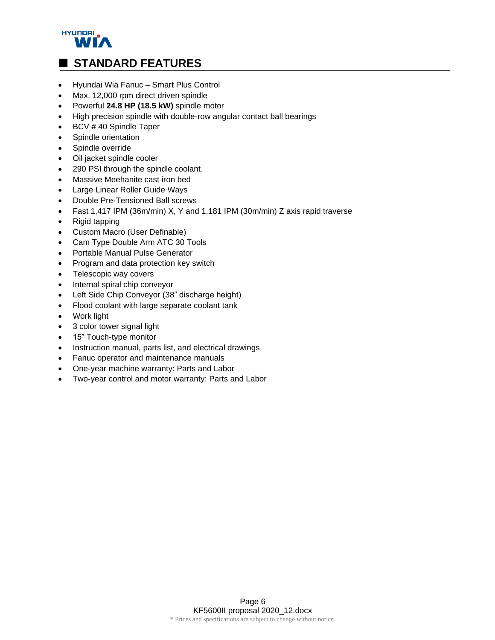

# • Hyundai Wia Fanuc – Smart Plus Control

- Max. 12,000 rpm direct driven spindle
- Powerful **24.8 HP (18.5 kW)** spindle motor
- High precision spindle with double-row angular contact ball bearings
- BCV # 40 Spindle Taper
- Spindle orientation
- Spindle override
- Oil jacket spindle cooler
- 290 PSI through the spindle coolant.
- Massive Meehanite cast iron bed
- Large Linear Roller Guide Ways
- Double Pre-Tensioned Ball screws
- Fast 1,417 IPM (36m/min) X, Y and 1,181 IPM (30m/min) Z axis rapid traverse
- Rigid tapping
- Custom Macro (User Definable)
- Cam Type Double Arm ATC 30 Tools
- Portable Manual Pulse Generator
- Program and data protection key switch
- Telescopic way covers
- Internal spiral chip conveyor
- Left Side Chip Conveyor (38" discharge height)
- Flood coolant with large separate coolant tank
- Work light
- 3 color tower signal light
- 15" Touch-type monitor
- Instruction manual, parts list, and electrical drawings
- Fanuc operator and maintenance manuals
- One-year machine warranty: Parts and Labor
- Two-year control and motor warranty: Parts and Labor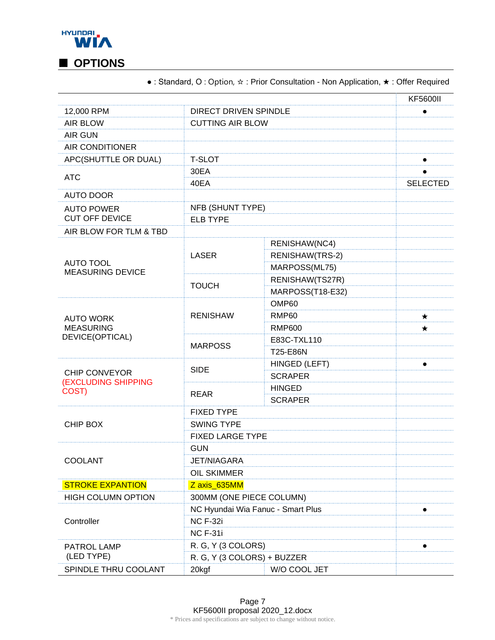

● : Standard, Ο : Option, ☆ : Prior Consultation - Non Application, ★ : Offer Required

|                                             |                                   |                          | <b>KF5600II</b> |  |
|---------------------------------------------|-----------------------------------|--------------------------|-----------------|--|
| 12,000 RPM                                  | <b>DIRECT DRIVEN SPINDLE</b>      |                          | $\bullet$       |  |
| <b>AIR BLOW</b>                             |                                   | <b>CUTTING AIR BLOW</b>  |                 |  |
| <b>AIR GUN</b>                              |                                   |                          |                 |  |
| <b>AIR CONDITIONER</b>                      |                                   |                          |                 |  |
| APC(SHUTTLE OR DUAL)                        | <b>T-SLOT</b>                     |                          |                 |  |
| <b>ATC</b>                                  | 30EA                              |                          |                 |  |
|                                             | 40EA                              |                          | <b>SELECTED</b> |  |
| <b>AUTO DOOR</b>                            |                                   |                          |                 |  |
| <b>AUTO POWER</b>                           | NFB (SHUNT TYPE)                  |                          |                 |  |
| <b>CUT OFF DEVICE</b>                       |                                   | <b>ELB TYPE</b>          |                 |  |
| AIR BLOW FOR TLM & TBD                      |                                   |                          |                 |  |
|                                             |                                   | RENISHAW(NC4)            |                 |  |
| <b>AUTO TOOL</b><br><b>MEASURING DEVICE</b> | <b>LASER</b>                      | RENISHAW(TRS-2)          |                 |  |
|                                             |                                   | MARPOSS(ML75)            |                 |  |
|                                             | <b>TOUCH</b>                      | RENISHAW(TS27R)          |                 |  |
|                                             |                                   | MARPOSS(T18-E32)         |                 |  |
|                                             |                                   | OMP60                    |                 |  |
| <b>AUTO WORK</b>                            | <b>RENISHAW</b>                   | RMP <sub>60</sub>        | $\star$         |  |
| <b>MEASURING</b>                            |                                   | <b>RMP600</b>            | $\star$         |  |
| DEVICE(OPTICAL)                             | <b>MARPOSS</b>                    | E83C-TXL110              |                 |  |
|                                             |                                   | T25-E86N                 |                 |  |
| <b>CHIP CONVEYOR</b><br>(EXCLUDING SHIPPING | <b>SIDE</b>                       | HINGED (LEFT)            | $\bullet$       |  |
|                                             |                                   | <b>SCRAPER</b>           |                 |  |
| COST)                                       | <b>REAR</b>                       | <b>HINGED</b>            |                 |  |
|                                             |                                   | <b>SCRAPER</b>           |                 |  |
| CHIP BOX                                    | <b>FIXED TYPE</b>                 |                          |                 |  |
|                                             | <b>SWING TYPE</b>                 |                          |                 |  |
|                                             | <b>FIXED LARGE TYPE</b>           |                          |                 |  |
| COOLANT                                     | <b>GUN</b>                        |                          |                 |  |
|                                             | <b>JET/NIAGARA</b>                |                          |                 |  |
|                                             | <b>OIL SKIMMER</b>                |                          |                 |  |
| <b>STROKE EXPANTION</b>                     | Z axis 635MM                      |                          |                 |  |
| <b>HIGH COLUMN OPTION</b>                   |                                   | 300MM (ONE PIECE COLUMN) |                 |  |
| Controller                                  | NC Hyundai Wia Fanuc - Smart Plus |                          | $\bullet$       |  |
|                                             | <b>NC F-32i</b>                   |                          |                 |  |
|                                             | <b>NC F-31i</b>                   |                          |                 |  |
| PATROL LAMP                                 | R. G, Y (3 COLORS)<br>$\bullet$   |                          |                 |  |
| (LED TYPE)                                  | R. G, Y (3 COLORS) + BUZZER       |                          |                 |  |
| SPINDLE THRU COOLANT                        | 20kgf                             | W/O COOL JET             |                 |  |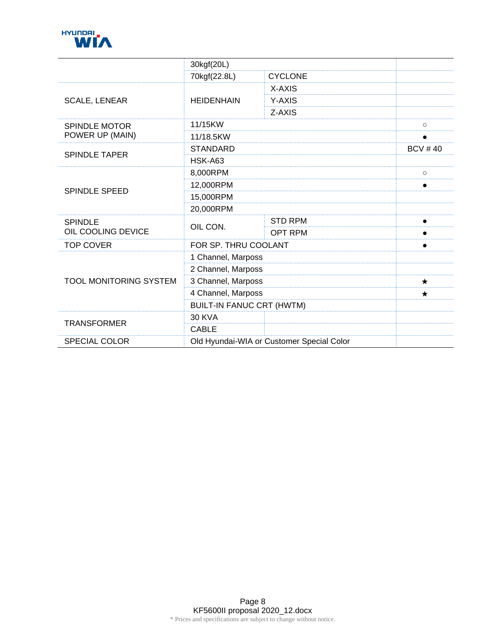

|                                      | 30kgf(20L)                                |                |                |
|--------------------------------------|-------------------------------------------|----------------|----------------|
|                                      | 70kgf(22.8L)                              | <b>CYCLONE</b> |                |
| <b>SCALE, LENEAR</b>                 | <b>HEIDENHAIN</b>                         | X-AXIS         |                |
|                                      |                                           | Y-AXIS         |                |
|                                      |                                           | Z-AXIS         |                |
| <b>SPINDLE MOTOR</b>                 | 11/15KW                                   |                | $\circ$        |
| POWER UP (MAIN)                      | 11/18.5KW                                 |                | $\bullet$      |
| <b>SPINDLE TAPER</b>                 | <b>STANDARD</b>                           |                | <b>BCV #40</b> |
|                                      | <b>HSK-A63</b>                            |                |                |
| <b>SPINDLE SPEED</b>                 | 8,000RPM                                  |                | $\circ$        |
|                                      | 12,000RPM                                 |                |                |
|                                      | 15,000RPM                                 |                |                |
|                                      | 20,000RPM                                 |                |                |
| <b>SPINDLE</b><br>OIL COOLING DEVICE | OIL CON.                                  | <b>STD RPM</b> | $\bullet$      |
|                                      |                                           | <b>OPT RPM</b> |                |
| <b>TOP COVER</b>                     | FOR SP. THRU COOLANT                      |                | $\bullet$      |
| <b>TOOL MONITORING SYSTEM</b>        | 1 Channel, Marposs                        |                |                |
|                                      | 2 Channel, Marposs                        |                |                |
|                                      | 3 Channel, Marposs                        |                | $\star$        |
|                                      | 4 Channel, Marposs                        |                | $\star$        |
|                                      | <b>BUILT-IN FANUC CRT (HWTM)</b>          |                |                |
| <b>TRANSFORMER</b>                   | <b>30 KVA</b>                             |                |                |
|                                      | <b>CABLE</b>                              |                |                |
| <b>SPECIAL COLOR</b>                 | Old Hyundai-WIA or Customer Special Color |                |                |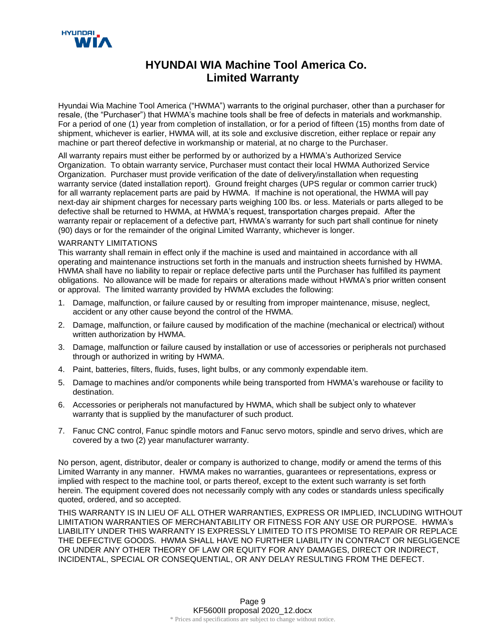

### **HYUNDAI WIA Machine Tool America Co. Limited Warranty**

Hyundai Wia Machine Tool America ("HWMA") warrants to the original purchaser, other than a purchaser for resale, (the "Purchaser") that HWMA's machine tools shall be free of defects in materials and workmanship. For a period of one (1) year from completion of installation, or for a period of fifteen (15) months from date of shipment, whichever is earlier, HWMA will, at its sole and exclusive discretion, either replace or repair any machine or part thereof defective in workmanship or material, at no charge to the Purchaser.

All warranty repairs must either be performed by or authorized by a HWMA's Authorized Service Organization. To obtain warranty service, Purchaser must contact their local HWMA Authorized Service Organization. Purchaser must provide verification of the date of delivery/installation when requesting warranty service (dated installation report). Ground freight charges (UPS regular or common carrier truck) for all warranty replacement parts are paid by HWMA. If machine is not operational, the HWMA will pay next-day air shipment charges for necessary parts weighing 100 lbs. or less. Materials or parts alleged to be defective shall be returned to HWMA, at HWMA's request, transportation charges prepaid. After the warranty repair or replacement of a defective part, HWMA's warranty for such part shall continue for ninety (90) days or for the remainder of the original Limited Warranty, whichever is longer.

#### WARRANTY LIMITATIONS

This warranty shall remain in effect only if the machine is used and maintained in accordance with all operating and maintenance instructions set forth in the manuals and instruction sheets furnished by HWMA. HWMA shall have no liability to repair or replace defective parts until the Purchaser has fulfilled its payment obligations. No allowance will be made for repairs or alterations made without HWMA's prior written consent or approval. The limited warranty provided by HWMA excludes the following:

- 1. Damage, malfunction, or failure caused by or resulting from improper maintenance, misuse, neglect, accident or any other cause beyond the control of the HWMA.
- 2. Damage, malfunction, or failure caused by modification of the machine (mechanical or electrical) without written authorization by HWMA.
- 3. Damage, malfunction or failure caused by installation or use of accessories or peripherals not purchased through or authorized in writing by HWMA.
- 4. Paint, batteries, filters, fluids, fuses, light bulbs, or any commonly expendable item.
- 5. Damage to machines and/or components while being transported from HWMA's warehouse or facility to destination.
- 6. Accessories or peripherals not manufactured by HWMA, which shall be subject only to whatever warranty that is supplied by the manufacturer of such product.
- 7. Fanuc CNC control, Fanuc spindle motors and Fanuc servo motors, spindle and servo drives, which are covered by a two (2) year manufacturer warranty.

No person, agent, distributor, dealer or company is authorized to change, modify or amend the terms of this Limited Warranty in any manner. HWMA makes no warranties, guarantees or representations, express or implied with respect to the machine tool, or parts thereof, except to the extent such warranty is set forth herein. The equipment covered does not necessarily comply with any codes or standards unless specifically quoted, ordered, and so accepted.

THIS WARRANTY IS IN LIEU OF ALL OTHER WARRANTIES, EXPRESS OR IMPLIED, INCLUDING WITHOUT LIMITATION WARRANTIES OF MERCHANTABILITY OR FITNESS FOR ANY USE OR PURPOSE. HWMA's LIABILITY UNDER THIS WARRANTY IS EXPRESSLY LIMITED TO ITS PROMISE TO REPAIR OR REPLACE THE DEFECTIVE GOODS. HWMA SHALL HAVE NO FURTHER LIABILITY IN CONTRACT OR NEGLIGENCE OR UNDER ANY OTHER THEORY OF LAW OR EQUITY FOR ANY DAMAGES, DIRECT OR INDIRECT, INCIDENTAL, SPECIAL OR CONSEQUENTIAL, OR ANY DELAY RESULTING FROM THE DEFECT.